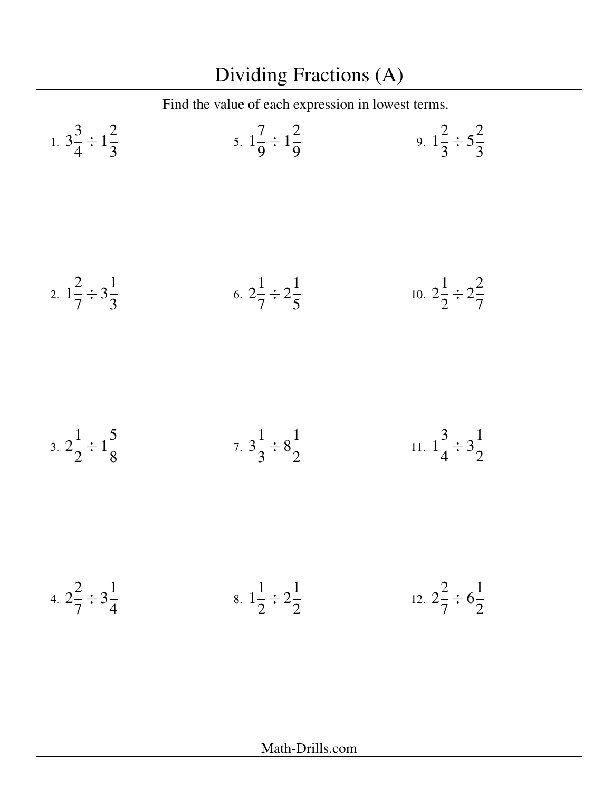## Dividing Fractions (A)

Find the value of each expression in lowest terms.

1. 
$$
3\frac{3}{4} \div 1\frac{2}{3}
$$
  
\n2.  $1\frac{2}{7} \div 3\frac{1}{3}$   
\n3.  $2\frac{1}{2} \div 1\frac{5}{8}$   
\n4.  $2\frac{2}{3} \div 3\frac{1}{4}$   
\n5.  $1\frac{7}{9} \div 1\frac{2}{9}$   
\n6.  $2\frac{1}{7} \div 2\frac{1}{5}$   
\n7.  $3\frac{1}{3} \div 8\frac{1}{2}$   
\n8.  $1\frac{1}{2} \div 2\frac{1}{2}$   
\n9.  $1\frac{2}{3} \div 5\frac{2}{3}$   
\n10.  $2\frac{1}{2} \div 2\frac{2}{7}$   
\n11.  $1\frac{3}{4} \div 3\frac{1}{2}$   
\n12.  $2\frac{2}{3} \div 6\frac{1}{2}$